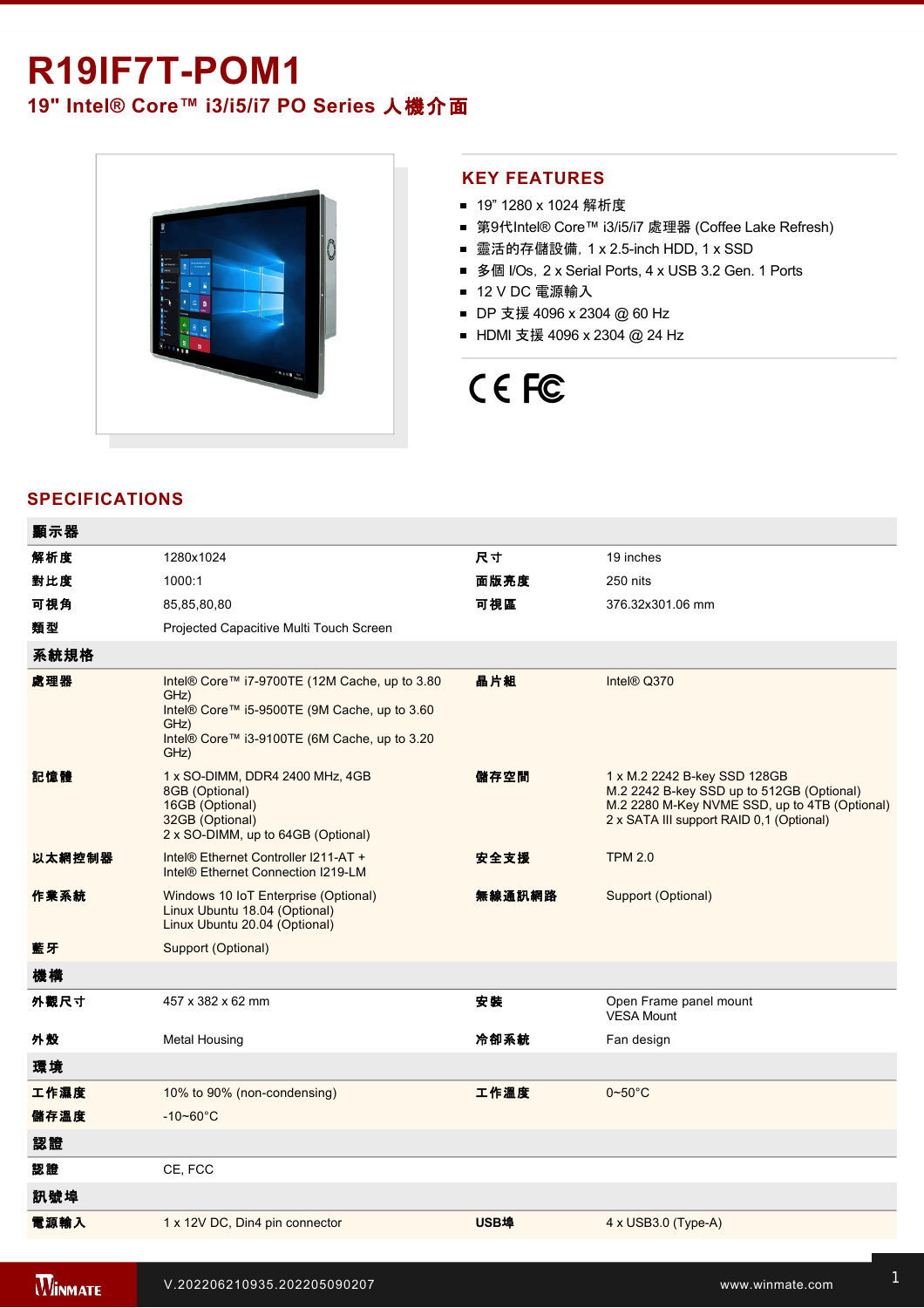# **R19IF7T-POM1**

**19" Intel® Core™ i3/i5/i7 PO Series** 人機介面



# **KEY FEATURES**

- 19" 1280 x 1024 解析度
- 第9代Intel® Core™ i3/i5/i7 處理器 (Coffee Lake Refresh)
- 靈活的存儲設備, 1 x 2.5-inch HDD, 1 x SSD
- 多個 I/Os, 2 x Serial Ports, 4 x USB 3.2 Gen. 1 Ports
- 12 V DC 電源輸入
- DP 支援 4096 x 2304 @ 60 Hz
- HDMI 支援 4096 x 2304 @ 24 Hz

# CE FC

# **SPECIFICATIONS**

| 顯示器    |                                                                                                                                                                       |             |                                                                                                                                                                        |
|--------|-----------------------------------------------------------------------------------------------------------------------------------------------------------------------|-------------|------------------------------------------------------------------------------------------------------------------------------------------------------------------------|
| 解析度    | 1280x1024                                                                                                                                                             | 尺寸          | 19 inches                                                                                                                                                              |
| 對比度    | 1000:1                                                                                                                                                                | 面版亮度        | 250 nits                                                                                                                                                               |
| 可視角    | 85,85,80,80                                                                                                                                                           | 可視區         | 376.32x301.06 mm                                                                                                                                                       |
| 類型     | Projected Capacitive Multi Touch Screen                                                                                                                               |             |                                                                                                                                                                        |
| 系統規格   |                                                                                                                                                                       |             |                                                                                                                                                                        |
| 處理器    | Intel® Core™ i7-9700TE (12M Cache, up to 3.80<br>GHz)<br>Intel® Core™ i5-9500TE (9M Cache, up to 3.60<br>GHz)<br>Intel® Core™ i3-9100TE (6M Cache, up to 3.20<br>GHz) | 晶片組         | Intel® Q370                                                                                                                                                            |
| 記憶體    | 1 x SO-DIMM, DDR4 2400 MHz, 4GB<br>8GB (Optional)<br>16GB (Optional)<br>32GB (Optional)<br>2 x SO-DIMM, up to 64GB (Optional)                                         | 儲存空間        | 1 x M.2 2242 B-key SSD 128GB<br>M.2 2242 B-key SSD up to 512GB (Optional)<br>M.2 2280 M-Key NVME SSD, up to 4TB (Optional)<br>2 x SATA III support RAID 0,1 (Optional) |
| 以太網控制器 | Intel® Ethernet Controller I211-AT +<br>Intel® Ethernet Connection I219-LM                                                                                            | 安全支援        | <b>TPM 2.0</b>                                                                                                                                                         |
| 作業系統   | Windows 10 IoT Enterprise (Optional)<br>Linux Ubuntu 18.04 (Optional)<br>Linux Ubuntu 20.04 (Optional)                                                                | 無線通訊網路      | Support (Optional)                                                                                                                                                     |
| 藍牙     | Support (Optional)                                                                                                                                                    |             |                                                                                                                                                                        |
| 機構     |                                                                                                                                                                       |             |                                                                                                                                                                        |
| 外觀尺寸   | 457 x 382 x 62 mm                                                                                                                                                     | 安装          | Open Frame panel mount<br><b>VESA Mount</b>                                                                                                                            |
| 外殼     | <b>Metal Housing</b>                                                                                                                                                  | 冷卻系統        | Fan design                                                                                                                                                             |
| 環境     |                                                                                                                                                                       |             |                                                                                                                                                                        |
| 工作濕度   | 10% to 90% (non-condensing)                                                                                                                                           | 工作溫度        | $0 - 50^{\circ}$ C                                                                                                                                                     |
| 儲存溫度   | $-10 - 60^{\circ}$ C                                                                                                                                                  |             |                                                                                                                                                                        |
| 認證     |                                                                                                                                                                       |             |                                                                                                                                                                        |
| 認證     | CE, FCC                                                                                                                                                               |             |                                                                                                                                                                        |
| 訊號埠    |                                                                                                                                                                       |             |                                                                                                                                                                        |
| 電源輸入   | 1 x 12V DC, Din4 pin connector                                                                                                                                        | <b>USB埠</b> | $4 \times$ USB3.0 (Type-A)                                                                                                                                             |

<u>1 x RS23</u>

1 x HDMI 1.4 (Optional)